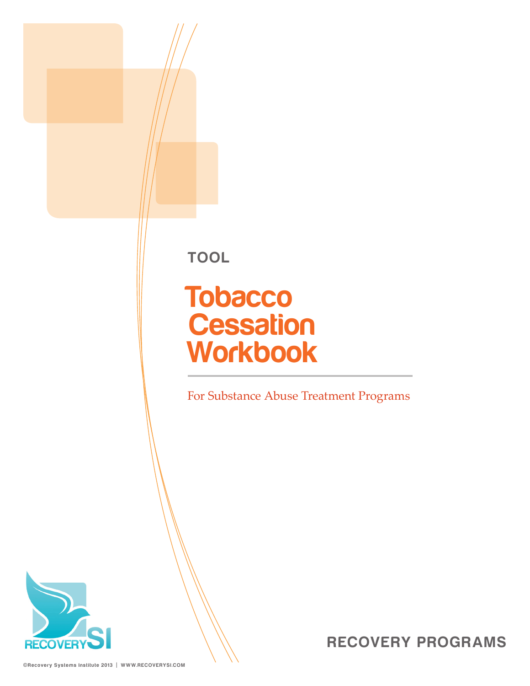**TOOL**

# **Tobacco Cessation Workbook**

For Substance Abuse Treatment Programs

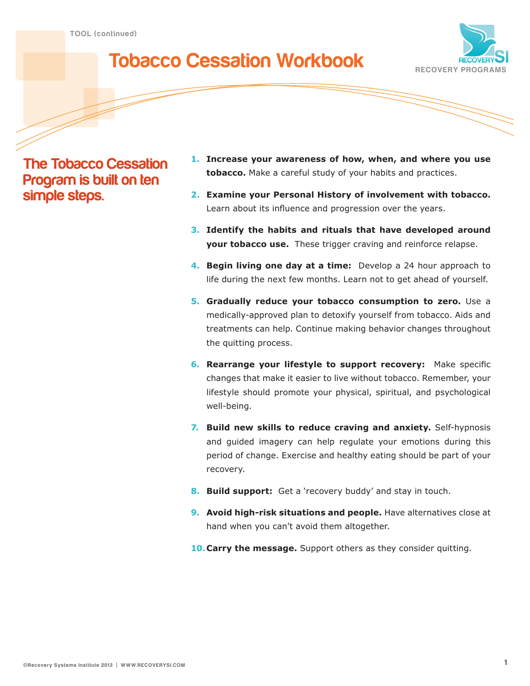# **Tobacco Cessation Workbook**



**The Tobacco Cessation Program is built on ten simple steps.**

- **1. Increase your awareness of how, when, and where you use tobacco.** Make a careful study of your habits and practices.
- **2. Examine your Personal History of involvement with tobacco.** Learn about its influence and progression over the years.
- **3. Identify the habits and rituals that have developed around your tobacco use.** These trigger craving and reinforce relapse.
- **4. Begin living one day at a time:** Develop a 24 hour approach to life during the next few months. Learn not to get ahead of yourself.
- **5. Gradually reduce your tobacco consumption to zero.** Use a medically-approved plan to detoxify yourself from tobacco. Aids and treatments can help. Continue making behavior changes throughout the quitting process.
- **6. Rearrange your lifestyle to support recovery:** Make specific changes that make it easier to live without tobacco. Remember, your lifestyle should promote your physical, spiritual, and psychological well-being.
- **7. Build new skills to reduce craving and anxiety.** Self-hypnosis and guided imagery can help regulate your emotions during this period of change. Exercise and healthy eating should be part of your recovery.
- **8. Build support:** Get a 'recovery buddy' and stay in touch.
- **9.** Avoid high-risk situations and people. Have alternatives close at hand when you can't avoid them altogether.
- **10. Carry the message.** Support others as they consider quitting.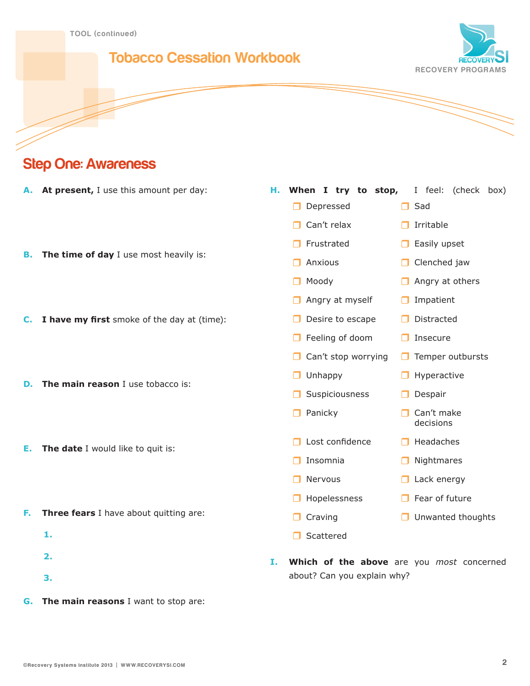### **Tobacco Cessation Workbook**



# **Step One: Awareness**

- **A. At present,** I use this amount per day:
- **B.** The time of day I use most heavily is:
- **C. I have my first** smoke of the day at (time):
- **D. The main reason** I use tobacco is:
- **E. The date** I would like to quit is:
- **F. Three fears** I have about quitting are:
	- **1.**
	- **2.**
	-
	- **3.**
- **G. The main reasons** I want to stop are:

#### **H. When I try to stop,** I feel: (check box)

- Depressed and Sad
- $\Box$  Can't relax  $\Box$  Irritable

decisions

- Frustrated **Easily upset**
- **Anxious Clenched jaw**
- Moody **Angry at others**
- **Angry at myself Impatient**
- Desire to escape Distracted
- Feeling of doom **Insecure**
- $\Box$  Can't stop worrying  $\Box$  Temper outbursts
- **O** Unhappy **C** Hyperactive
- Suspiciousness **D** Despair
- **Panicky Can't make**
- $\Box$  Lost confidence  $\Box$  Headaches
- **O** Insomnia **C** Nightmares
- Nervous and Lack energy
- $\Box$  Hopelessness  $\Box$  Fear of future
- **O** Craving **Craving Craving Craving Craving Craving Craving Craving Craving Craving Craving Craving Craving Craving Craving Craving Craving Craving Craving Craving Craving Craving Craving Craving Craving Craving Craving C**
- □ Scattered
- **I. Which of the above** are you *most* concerned about? Can you explain why?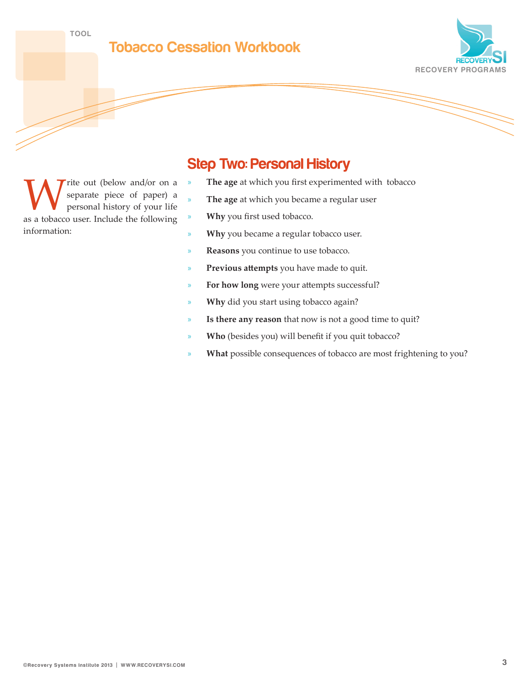**TOO L**





rite out (below and/or on a separate piece of paper) a personal history of your life as a tobacco user. Include the following information:

## **Step Two: Personal History**

- » **The age** at which you first experimented with tobacco
- » **The age** at which you became a regular user
- » **Why** you first used tobacco.
- » **Why** you became a regular tobacco user.
- » **Reasons** you continue to use tobacco.
- » **Previous attempts** you have made to quit.
- For how long were your attempts successful?
- Why did you start using tobacco again?
- Is there any reason that now is not a good time to quit?
- » **Who** (besides you) will benefit if you quit tobacco?
- What possible consequences of tobacco are most frightening to you?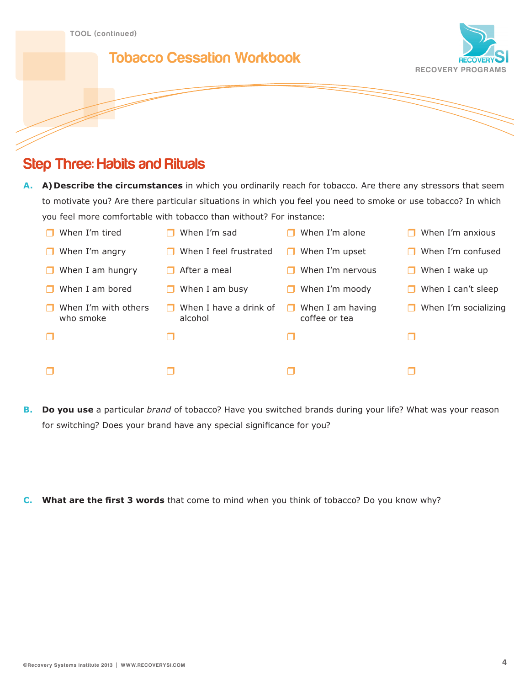### **Tobacco Cessation Workbook**



# **Step Three: Habits and Rituals**

**A. A) Describe the circumstances** in which you ordinarily reach for tobacco. Are there any stressors that seem to motivate you? Are there particular situations in which you feel you need to smoke or use tobacco? In which you feel more comfortable with tobacco than without? For instance:

| When I'm tired                    | When I'm sad                      | When I'm alone                    | When I'm anxious          |
|-----------------------------------|-----------------------------------|-----------------------------------|---------------------------|
| When I'm angry                    | When I feel frustrated            | When I'm upset                    | When I'm confused<br>П    |
| When I am hungry                  | After a meal                      | When I'm nervous                  | When I wake up<br>H       |
| When I am bored                   | When I am busy                    | When I'm moody                    | When I can't sleep<br>П   |
| When I'm with others<br>who smoke | When I have a drink of<br>alcohol | When I am having<br>coffee or tea | When I'm socializing<br>H |
|                                   |                                   |                                   | H                         |
|                                   |                                   |                                   |                           |

- **B. Do you use** a particular *brand* of tobacco? Have you switched brands during your life? What was your reason for switching? Does your brand have any special significance for you?
- **C. What are the first 3 words** that come to mind when you think of tobacco? Do you know why?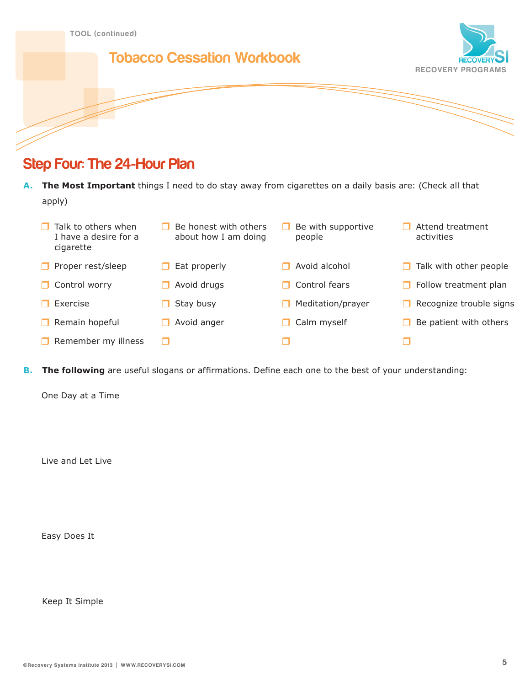

# **Step Four: The 24-Hour Plan**

**A. The Most Important** things I need to do stay away from cigarettes on a daily basis are: (Check all that apply)

| Talk to others when<br>I have a desire for a<br>cigarette | Be honest with others<br>about how I am doing | Be with supportive<br>people | Attend treatment<br>activities |
|-----------------------------------------------------------|-----------------------------------------------|------------------------------|--------------------------------|
| Proper rest/sleep                                         | Eat properly                                  | Avoid alcohol                | Talk with other people         |
| Control worry<br>H                                        | Avoid drugs                                   | Control fears                | $\Box$ Follow treatment plan   |
| Exercise                                                  | Stay busy                                     | Meditation/prayer            | Recognize trouble signs        |
| Remain hopeful                                            | Avoid anger                                   | Calm myself                  | Be patient with others         |
| Remember my illness                                       | H                                             |                              | - 1                            |

**B. The following** are useful slogans or affirmations. Define each one to the best of your understanding:

One Day at a Time

Live and Let Live

Easy Does It

Keep It Simple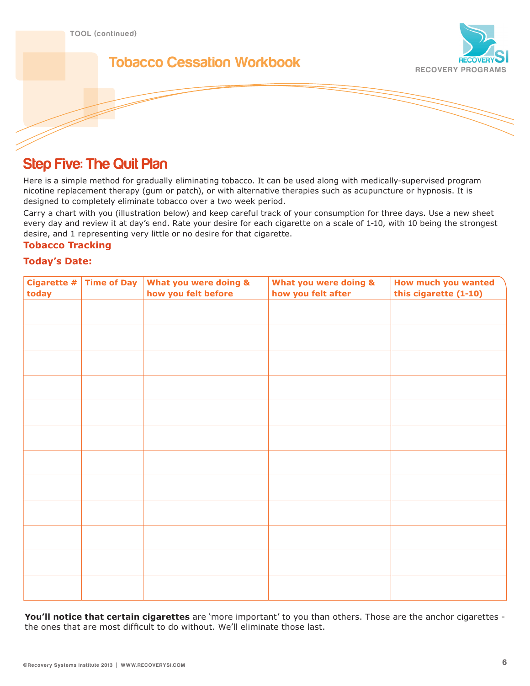

# **Tobacco Cessation Workbook**



# **Step Five: The Quit Plan**

Here is a simple method for gradually eliminating tobacco. It can be used along with medically-supervised program nicotine replacement therapy (gum or patch), or with alternative therapies such as acupuncture or hypnosis. It is designed to completely eliminate tobacco over a two week period.

Carry a chart with you (illustration below) and keep careful track of your consumption for three days. Use a new sheet every day and review it at day's end. Rate your desire for each cigarette on a scale of 1-10, with 10 being the strongest desire, and 1 representing very little or no desire for that cigarette.

#### **Tobacco Tracking**

#### **Today's Date:**

| Cigarette $\#$<br>today | <b>Time of Day</b> | What you were doing &<br>how you felt before | What you were doing &<br>how you felt after | How much you wanted<br>this cigarette (1-10) |
|-------------------------|--------------------|----------------------------------------------|---------------------------------------------|----------------------------------------------|
|                         |                    |                                              |                                             |                                              |
|                         |                    |                                              |                                             |                                              |
|                         |                    |                                              |                                             |                                              |
|                         |                    |                                              |                                             |                                              |
|                         |                    |                                              |                                             |                                              |
|                         |                    |                                              |                                             |                                              |
|                         |                    |                                              |                                             |                                              |
|                         |                    |                                              |                                             |                                              |
|                         |                    |                                              |                                             |                                              |
|                         |                    |                                              |                                             |                                              |
|                         |                    |                                              |                                             |                                              |
|                         |                    |                                              |                                             |                                              |

**You'll notice that certain cigarettes** are 'more important' to you than others. Those are the anchor cigarettes the ones that are most difficult to do without. We'll eliminate those last.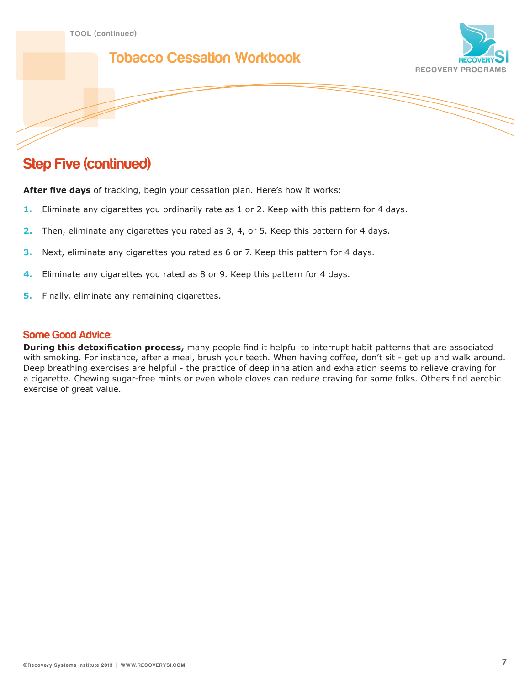### **Tobacco Cessation Workbook**



# **Step Five (continued)**

**After five days** of tracking, begin your cessation plan. Here's how it works:

- **1.** Eliminate any cigarettes you ordinarily rate as 1 or 2. Keep with this pattern for 4 days.
- **2.** Then, eliminate any cigarettes you rated as 3, 4, or 5. Keep this pattern for 4 days.
- **3.** Next, eliminate any cigarettes you rated as 6 or 7. Keep this pattern for 4 days.
- **4.** Eliminate any cigarettes you rated as 8 or 9. Keep this pattern for 4 days.
- **5.** Finally, eliminate any remaining cigarettes.

#### **Some Good Advice:**

**During this detoxification process,** many people find it helpful to interrupt habit patterns that are associated with smoking. For instance, after a meal, brush your teeth. When having coffee, don't sit - get up and walk around. Deep breathing exercises are helpful - the practice of deep inhalation and exhalation seems to relieve craving for a cigarette. Chewing sugar-free mints or even whole cloves can reduce craving for some folks. Others find aerobic exercise of great value.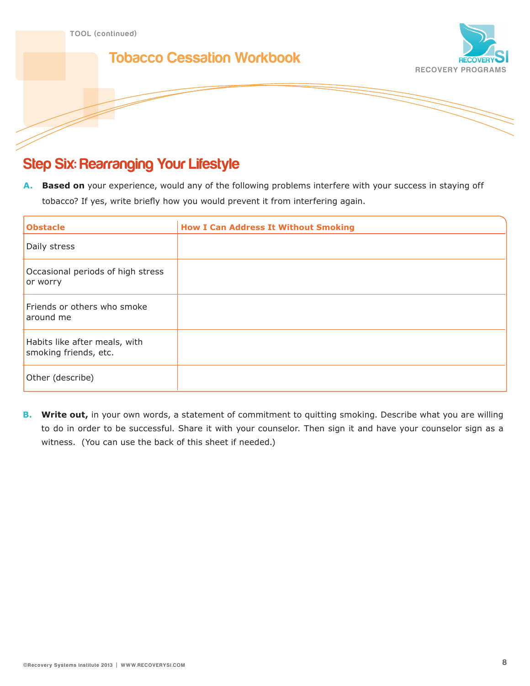

# **Step Six: Rearranging Your Lifestyle**

**A. Based on** your experience, would any of the following problems interfere with your success in staying off tobacco? If yes, write briefly how you would prevent it from interfering again.

| <b>Obstacle</b>                                        | <b>How I Can Address It Without Smoking</b> |
|--------------------------------------------------------|---------------------------------------------|
| Daily stress                                           |                                             |
| Occasional periods of high stress<br>or worry          |                                             |
| Friends or others who smoke<br>around me               |                                             |
| Habits like after meals, with<br>smoking friends, etc. |                                             |
| Other (describe)                                       |                                             |

**B.** Write out, in your own words, a statement of commitment to quitting smoking. Describe what you are willing to do in order to be successful. Share it with your counselor. Then sign it and have your counselor sign as a witness. (You can use the back of this sheet if needed.)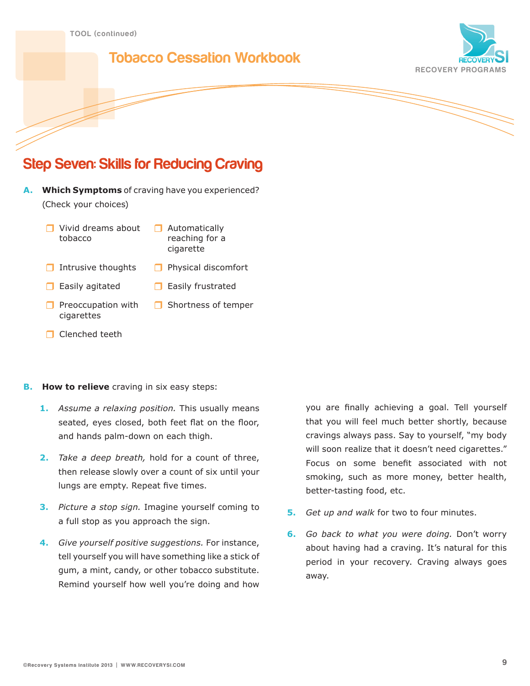# **Tobacco Cessation Workbook**



# **Step Seven: Skills for Reducing Craving**

- **A. Which Symptoms** of craving have you experienced? (Check your choices)
	- Vivid dreams about tobacco
- **Automatically** reaching for a cigarette
- Intrusive thoughts  $\Box$  Physical discomfort
- $\Box$  Easily agitated  $\Box$  Easily frustrated
- $\Box$  Preoccupation with cigarettes
- Shortness of temper
- Clenched teeth

#### **B. How to relieve** craving in six easy steps:

- **1.** *Assume a relaxing position.* This usually means seated, eyes closed, both feet flat on the floor, and hands palm-down on each thigh.
- **2.** *Take a deep breath,* hold for a count of three, then release slowly over a count of six until your lungs are empty. Repeat five times.
- **3.** *Picture a stop sign.* Imagine yourself coming to a full stop as you approach the sign.
- **4.** *Give yourself positive suggestions.* For instance, tell yourself you will have something like a stick of gum, a mint, candy, or other tobacco substitute. Remind yourself how well you're doing and how

you are finally achieving a goal. Tell yourself that you will feel much better shortly, because cravings always pass. Say to yourself, "my body will soon realize that it doesn't need cigarettes." Focus on some benefit associated with not smoking, such as more money, better health, better-tasting food, etc.

- **5.** *Get up and walk* for two to four minutes.
- **6.** *Go back to what you were doing.* Don't worry about having had a craving. It's natural for this period in your recovery. Craving always goes away.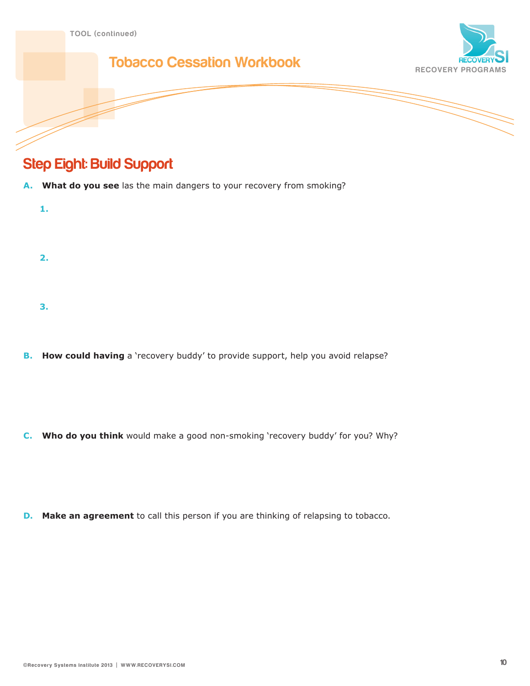

# **Step Eight: Build Support**

**3.**

- **A. What do you see** las the main dangers to your recovery from smoking?
	- **1. 2.**
- **B.** How could having a 'recovery buddy' to provide support, help you avoid relapse?

**C. Who do you think** would make a good non-smoking 'recovery buddy' for you? Why?

**D.** Make an agreement to call this person if you are thinking of relapsing to tobacco.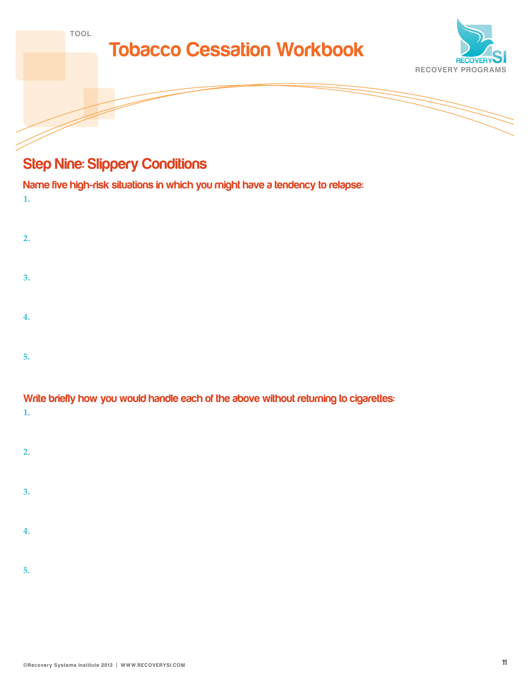| <b>TOOL</b> | <b>Tobacco Cessation Workbook</b> |                          |
|-------------|-----------------------------------|--------------------------|
|             |                                   | <b>RECOVERYO</b>         |
|             |                                   | <b>RECOVERY PROGRAMS</b> |
|             |                                   |                          |

# **Step Nine: Slippery Conditions**

| Name five high-risk situations in which you might have a tendency to relapse:<br>1.   |
|---------------------------------------------------------------------------------------|
| 2.                                                                                    |
| 3.                                                                                    |
| 4.                                                                                    |
| 5.                                                                                    |
| Write briefly how you would handle each of the above without returning to cigarettes: |

| <b>THE OFFICITY LIGHT YOU WOULD LIGHTER COULD AT A COUNCY WILL FOUL LIGHT III IN 10 CINGLE</b> |  |  |
|------------------------------------------------------------------------------------------------|--|--|
|                                                                                                |  |  |
|                                                                                                |  |  |

| . . |  |  |  |
|-----|--|--|--|
|     |  |  |  |

| 3. |  |  |  |
|----|--|--|--|
|    |  |  |  |
| 4  |  |  |  |

| ь |  |  |  |
|---|--|--|--|